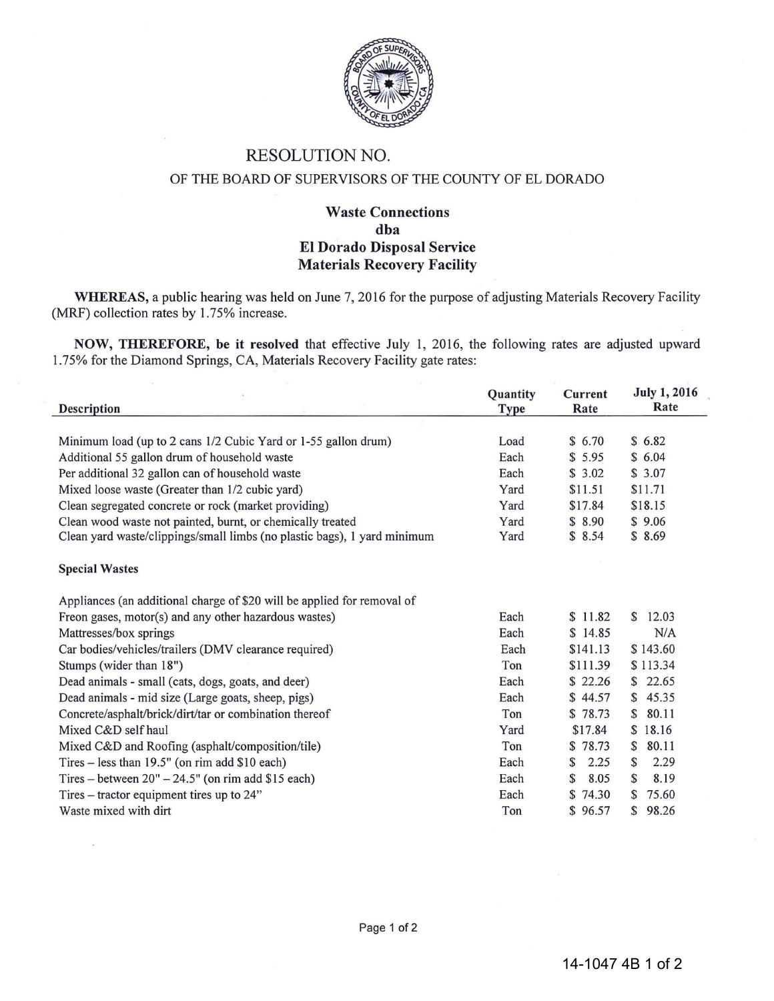

# RESOLUTION NO.

### OF THE BOARD OF SUPERVISORS OF THE COUNTY OF EL DORADO

## Waste Connections dba El Dorado Disposal Service Materials Recovery Facility

WHEREAS, a public hearing was held on June 7, 2016 for the purpose of adjusting Materials Recovery Facility (MRF) collection rates by 1.75% increase.

NOW, THEREFORE, be it resolved that effective July 1, 2016, the following rates are adjusted upward 1.75% for the Diamond Springs, CA, Materials Recovery Facility gate rates:

| <b>Description</b>                                                       | Quantity<br><b>Type</b> | <b>Current</b><br>Rate | <b>July 1, 2016</b><br>Rate |
|--------------------------------------------------------------------------|-------------------------|------------------------|-----------------------------|
|                                                                          |                         |                        |                             |
| Minimum load (up to 2 cans 1/2 Cubic Yard or 1-55 gallon drum)           | Load                    | \$6.70                 | \$6.82                      |
| Additional 55 gallon drum of household waste                             | Each                    | \$5.95                 | \$6.04                      |
| Per additional 32 gallon can of household waste                          | Each                    | \$3.02                 | \$3.07                      |
| Mixed loose waste (Greater than 1/2 cubic yard)                          | Yard                    | \$11.51                | \$11.71                     |
| Clean segregated concrete or rock (market providing)                     | Yard                    | \$17.84                | \$18.15                     |
| Clean wood waste not painted, burnt, or chemically treated               | Yard                    | \$8.90                 | \$9.06                      |
| Clean yard waste/clippings/small limbs (no plastic bags), 1 yard minimum | Yard                    | \$8.54                 | \$8.69                      |
| <b>Special Wastes</b>                                                    |                         |                        |                             |
| Appliances (an additional charge of \$20 will be applied for removal of  |                         |                        |                             |
| Freon gases, motor(s) and any other hazardous wastes)                    | Each                    | \$11.82                | 12.03<br>$\mathbb{S}$       |
| Mattresses/box springs                                                   | Each                    | \$14.85                | N/A                         |
| Car bodies/vehicles/trailers (DMV clearance required)                    | Each                    | \$141.13               | \$143.60                    |
| Stumps (wider than 18")                                                  | Ton                     | \$111.39               | \$113.34                    |
| Dead animals - small (cats, dogs, goats, and deer)                       | Each                    | \$22.26                | \$22.65                     |
| Dead animals - mid size (Large goats, sheep, pigs)                       | Each                    | \$44.57                | \$45.35                     |
| Concrete/asphalt/brick/dirt/tar or combination thereof                   | Ton                     | \$78.73                | 80.11<br>$\mathbb{S}$       |
| Mixed C&D self haul                                                      | Yard                    | \$17.84                | \$18.16                     |
| Mixed C&D and Roofing (asphalt/composition/tile)                         | Ton                     | \$78.73                | 80.11<br>$\mathbb{S}$       |
| Tires - less than 19.5" (on rim add \$10 each)                           | Each                    | 2.25<br>\$             | 2.29<br>\$                  |
| Tires – between $20" - 24.5"$ (on rim add \$15 each)                     | Each                    | S<br>8.05              | 8.19<br>S                   |
| Tires – tractor equipment tires up to $24$ "                             | Each                    | \$74.30                | 75.60<br>S                  |
| Waste mixed with dirt                                                    | Ton                     | \$96.57                | \$98.26                     |